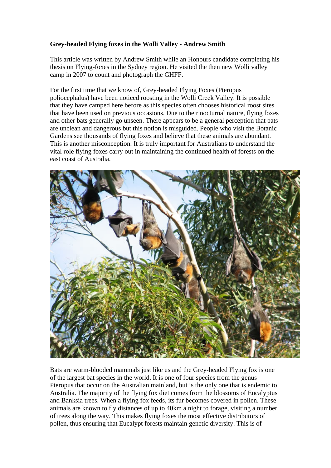## **Grey-headed Flying foxes in the Wolli Valley - Andrew Smith**

This article was written by Andrew Smith while an Honours candidate completing his thesis on Flying-foxes in the Sydney region. He visited the then new Wolli valley camp in 2007 to count and photograph the GHFF.

For the first time that we know of, Grey-headed Flying Foxes (Pteropus poliocephalus) have been noticed roosting in the Wolli Creek Valley. It is possible that they have camped here before as this species often chooses historical roost sites that have been used on previous occasions. Due to their nocturnal nature, flying foxes and other bats generally go unseen. There appears to be a general perception that bats are unclean and dangerous but this notion is misguided. People who visit the Botanic Gardens see thousands of flying foxes and believe that these animals are abundant. This is another misconception. It is truly important for Australians to understand the vital role flying foxes carry out in maintaining the continued health of forests on the east coast of Australia.



Bats are warm-blooded mammals just like us and the Grey-headed Flying fox is one of the largest bat species in the world. It is one of four species from the genus Pteropus that occur on the Australian mainland, but is the only one that is endemic to Australia. The majority of the flying fox diet comes from the blossoms of Eucalyptus and Banksia trees. When a flying fox feeds, its fur becomes covered in pollen. These animals are known to fly distances of up to 40km a night to forage, visiting a number of trees along the way. This makes flying foxes the most effective distributors of pollen, thus ensuring that Eucalypt forests maintain genetic diversity. This is of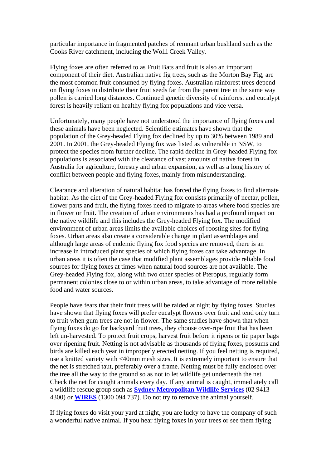particular importance in fragmented patches of remnant urban bushland such as the Cooks River catchment, including the Wolli Creek Valley.

Flying foxes are often referred to as Fruit Bats and fruit is also an important component of their diet. Australian native fig trees, such as the Morton Bay Fig, are the most common fruit consumed by flying foxes. Australian rainforest trees depend on flying foxes to distribute their fruit seeds far from the parent tree in the same way pollen is carried long distances. Continued genetic diversity of rainforest and eucalypt forest is heavily reliant on healthy flying fox populations and vice versa.

Unfortunately, many people have not understood the importance of flying foxes and these animals have been neglected. Scientific estimates have shown that the population of the Grey-headed Flying fox declined by up to 30% between 1989 and 2001. In 2001, the Grey-headed Flying fox was listed as vulnerable in NSW, to protect the species from further decline. The rapid decline in Grey-headed Flying fox populations is associated with the clearance of vast amounts of native forest in Australia for agriculture, forestry and urban expansion, as well as a long history of conflict between people and flying foxes, mainly from misunderstanding.

Clearance and alteration of natural habitat has forced the flying foxes to find alternate habitat. As the diet of the Grey-headed Flying fox consists primarily of nectar, pollen, flower parts and fruit, the flying foxes need to migrate to areas where food species are in flower or fruit. The creation of urban environments has had a profound impact on the native wildlife and this includes the Grey-headed Flying fox. The modified environment of urban areas limits the available choices of roosting sites for flying foxes. Urban areas also create a considerable change in plant assemblages and although large areas of endemic flying fox food species are removed, there is an increase in introduced plant species of which flying foxes can take advantage. In urban areas it is often the case that modified plant assemblages provide reliable food sources for flying foxes at times when natural food sources are not available. The Grey-headed Flying fox, along with two other species of Pteropus, regularly form permanent colonies close to or within urban areas, to take advantage of more reliable food and water sources.

People have fears that their fruit trees will be raided at night by flying foxes. Studies have shown that flying foxes will prefer eucalypt flowers over fruit and tend only turn to fruit when gum trees are not in flower. The same studies have shown that when flying foxes do go for backyard fruit trees, they choose over-ripe fruit that has been left un-harvested. To protect fruit crops, harvest fruit before it ripens or tie paper bags over ripening fruit. Netting is not advisable as thousands of flying foxes, possums and birds are killed each year in improperly erected netting. If you feel netting is required, use a knitted variety with <40mm mesh sizes. It is extremely important to ensure that the net is stretched taut, preferably over a frame. Netting must be fully enclosed over the tree all the way to the ground so as not to let wildlife get underneath the net. Check the net for caught animals every day. If any animal is caught, immediately call a wildlife rescue group such as **Sydney Metropolitan Wildlife Services** (02 9413 4300) or **WIRES** (1300 094 737). Do not try to remove the animal yourself.

If flying foxes do visit your yard at night, you are lucky to have the company of such a wonderful native animal. If you hear flying foxes in your trees or see them flying